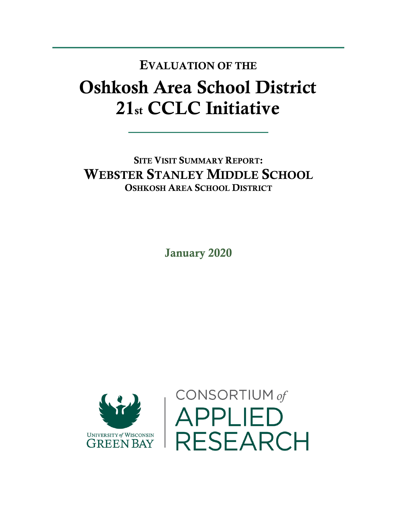## Oshkosh Area School District 21st CCLC Initiative EVALUATION OF THE

SITE VISIT SUMMARY REPORT: WEBSTER STANLEY MIDDLE SCHOOL OSHKOSH AREA SCHOOL DISTRICT

January 2020



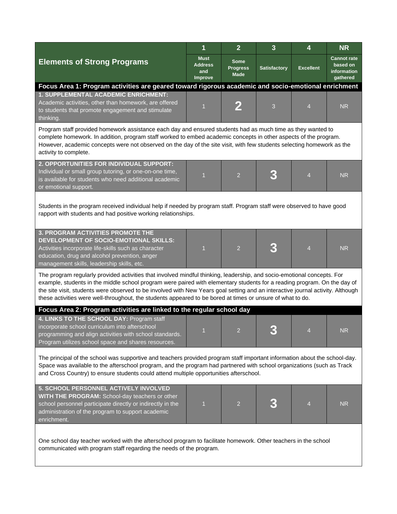|                                                                                                                                                                                                                                                                                                                                                                                                                                                                                                      | 1                                               | $\overline{2}$                                | $\overline{3}$      | 4                | <b>NR</b>                                                 |  |  |  |
|------------------------------------------------------------------------------------------------------------------------------------------------------------------------------------------------------------------------------------------------------------------------------------------------------------------------------------------------------------------------------------------------------------------------------------------------------------------------------------------------------|-------------------------------------------------|-----------------------------------------------|---------------------|------------------|-----------------------------------------------------------|--|--|--|
| <b>Elements of Strong Programs</b>                                                                                                                                                                                                                                                                                                                                                                                                                                                                   | <b>Must</b><br><b>Address</b><br>and<br>Improve | <b>Some</b><br><b>Progress</b><br><b>Made</b> | <b>Satisfactory</b> | <b>Excellent</b> | <b>Cannot rate</b><br>based on<br>information<br>gathered |  |  |  |
| Focus Area 1: Program activities are geared toward rigorous academic and socio-emotional enrichment                                                                                                                                                                                                                                                                                                                                                                                                  |                                                 |                                               |                     |                  |                                                           |  |  |  |
| 1. SUPPLEMENTAL ACADEMIC ENRICHMENT:<br>Academic activities, other than homework, are offered<br>to students that promote engagement and stimulate<br>thinking.                                                                                                                                                                                                                                                                                                                                      | $\overline{1}$                                  |                                               | 3                   | $\overline{4}$   | <b>NR</b>                                                 |  |  |  |
| Program staff provided homework assistance each day and ensured students had as much time as they wanted to<br>complete homework. In addition, program staff worked to embed academic concepts in other aspects of the program.<br>However, academic concepts were not observed on the day of the site visit, with few students selecting homework as the<br>activity to complete.                                                                                                                   |                                                 |                                               |                     |                  |                                                           |  |  |  |
| 2. OPPORTUNITIES FOR INDIVIDUAL SUPPORT:<br>Individual or small group tutoring, or one-on-one time,<br>is available for students who need additional academic<br>or emotional support.                                                                                                                                                                                                                                                                                                               | 1                                               | $\overline{2}$                                | 3                   | $\overline{4}$   | <b>NR</b>                                                 |  |  |  |
| Students in the program received individual help if needed by program staff. Program staff were observed to have good<br>rapport with students and had positive working relationships.                                                                                                                                                                                                                                                                                                               |                                                 |                                               |                     |                  |                                                           |  |  |  |
| <b>3. PROGRAM ACTIVITIES PROMOTE THE</b><br>DEVELOPMENT OF SOCIO-EMOTIONAL SKILLS:<br>Activities incorporate life-skills such as character<br>education, drug and alcohol prevention, anger<br>management skills, leadership skills, etc.                                                                                                                                                                                                                                                            | 1                                               | $\overline{2}$                                |                     | $\overline{4}$   | <b>NR</b>                                                 |  |  |  |
| The program regularly provided activities that involved mindful thinking, leadership, and socio-emotional concepts. For<br>example, students in the middle school program were paired with elementary students for a reading program. On the day of<br>the site visit, students were observed to be involved with New Years goal setting and an interactive journal activity. Although<br>these activities were well-throughout, the students appeared to be bored at times or unsure of what to do. |                                                 |                                               |                     |                  |                                                           |  |  |  |
| Focus Area 2: Program activities are linked to the regular school day                                                                                                                                                                                                                                                                                                                                                                                                                                |                                                 |                                               |                     |                  |                                                           |  |  |  |
| 4. LINKS TO THE SCHOOL DAY: Program staff<br>incorporate school curriculum into afterschool<br>programming and align activities with school standards.<br>Program utilizes school space and shares resources.                                                                                                                                                                                                                                                                                        | $\blacktriangleleft$                            | $\mathfrak{D}$                                |                     |                  | NR                                                        |  |  |  |
| The principal of the school was supportive and teachers provided program staff important information about the school-day.<br>Space was available to the afterschool program, and the program had partnered with school organizations (such as Track<br>and Cross Country) to ensure students could attend multiple opportunities afterschool.                                                                                                                                                       |                                                 |                                               |                     |                  |                                                           |  |  |  |
| 5. SCHOOL PERSONNEL ACTIVELY INVOLVED<br>WITH THE PROGRAM: School-day teachers or other<br>school personnel participate directly or indirectly in the<br>administration of the program to support academic<br>enrichment.                                                                                                                                                                                                                                                                            | 1                                               | $\overline{2}$                                |                     | $\overline{4}$   | <b>NR</b>                                                 |  |  |  |
| One school day teacher worked with the afterschool program to facilitate homework. Other teachers in the school<br>communicated with program staff regarding the needs of the program.                                                                                                                                                                                                                                                                                                               |                                                 |                                               |                     |                  |                                                           |  |  |  |